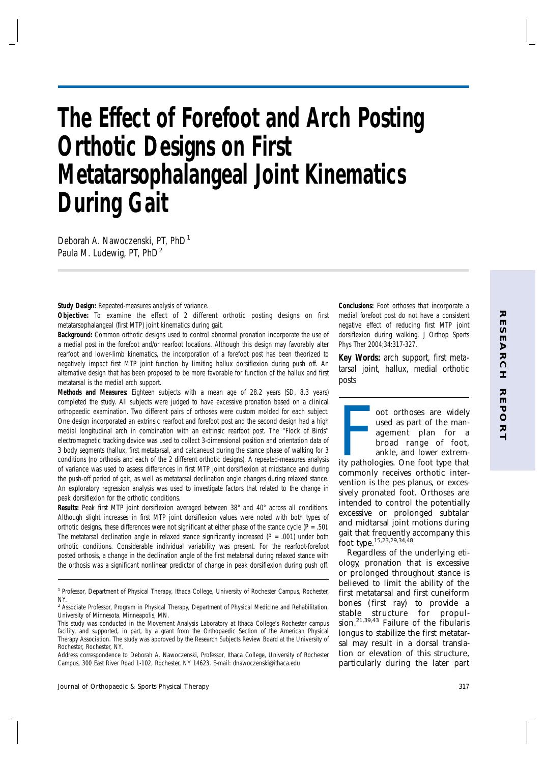# **The Effect of Forefoot and Arch Posting Orthotic Designs on First Metatarsophalangeal Joint Kinematics During Gait**

*Deborah A. Nawoczenski, PT, PhD*<sup>1</sup> *Paula M. Ludewig, PT, PhD*<sup>2</sup>

**Study Design:** Repeated-measures analysis of variance.

**Objective:** To examine the effect of 2 different orthotic posting designs on first metatarsophalangeal (first MTP) joint kinematics during gait.

**Background:** Common orthotic designs used to control abnormal pronation incorporate the use of a medial post in the forefoot and/or rearfoot locations. Although this design may favorably alter rearfoot and lower-limb kinematics, the incorporation of a forefoot post has been theorized to negatively impact first MTP joint function by limiting hallux dorsiflexion during push off. An alternative design that has been proposed to be more favorable for function of the hallux and first metatarsal is the medial arch support.

**Methods and Measures:** Eighteen subjects with a mean age of 28.2 years (SD, 8.3 years) completed the study. All subjects were judged to have excessive pronation based on a clinical orthopaedic examination. Two different pairs of orthoses were custom molded for each subject. One design incorporated an extrinsic rearfoot and forefoot post and the second design had a high medial longitudinal arch in combination with an extrinsic rearfoot post. The ''Flock of Birds'' electromagnetic tracking device was used to collect 3-dimensional position and orientation data of 3 body segments (hallux, first metatarsal, and calcaneus) during the stance phase of walking for 3 conditions (no orthosis and each of the 2 different orthotic designs). A repeated-measures analysis of variance was used to assess differences in first MTP joint dorsiflexion at midstance and during the push-off period of gait, as well as metatarsal declination angle changes during relaxed stance. An exploratory regression analysis was used to investigate factors that related to the change in peak dorsiflexion for the orthotic conditions.

**Results:** Peak first MTP joint dorsiflexion averaged between 38° and 40° across all conditions. Although slight increases in first MTP joint dorsiflexion values were noted with both types of orthotic designs, these differences were not significant at either phase of the stance cycle (*P* = .50). The metatarsal declination angle in relaxed stance significantly increased  $(P = .001)$  under both orthotic conditions. Considerable individual variability was present. For the rearfoot-forefoot posted orthosis, a change in the declination angle of the first metatarsal during relaxed stance with the orthosis was a significant nonlinear predictor of change in peak dorsiflexion during push off.

**Conclusions:** Foot orthoses that incorporate a medial forefoot post do not have a consistent negative effect of reducing first MTP joint dorsiflexion during walking. *J Orthop Sports Phys Ther 2004;34:317-327.*

*Key Words: arch support, first metatarsal joint, hallux, medial orthotic posts*

**Formal** oot orthoses are widely used as part of the management plan for a broad range of foot, ankle, and lower extremity pathologies. One foot type that commonly receives orthotic intervention is the pes planus, or excessively pronated foot. Orthoses are intended to control the potentially excessive or prolonged subtalar and midtarsal joint motions during gait that frequently accompany this foot type.15,23,29,34,48

Regardless of the underlying etiology, pronation that is excessive or prolonged throughout stance is believed to limit the ability of the first metatarsal and first cuneiform bones (first ray) to provide a stable structure for propulsion.<sup>21,39,43</sup> Failure of the fibularis longus to stabilize the first metatarsal may result in a dorsal translation or elevation of this structure, particularly during the later part

<sup>1</sup> *Professor, Department of Physical Therapy, Ithaca College, University of Rochester Campus, Rochester, NY.*

<sup>2</sup> *Associate Professor, Program in Physical Therapy, Department of Physical Medicine and Rehabilitation, University of Minnesota, Minneapolis, MN.*

*This study was conducted in the Movement Analysis Laboratory at Ithaca College's Rochester campus facility, and supported, in part, by a grant from the Orthopaedic Section of the American Physical Therapy Association. The study was approved by the Research Subjects Review Board at the University of Rochester, Rochester, NY.*

*Address correspondence to Deborah A. Nawoczenski, Professor, Ithaca College, University of Rochester Campus, 300 East River Road 1-102, Rochester, NY 14623. E-mail: dnawoczenski@ithaca.edu*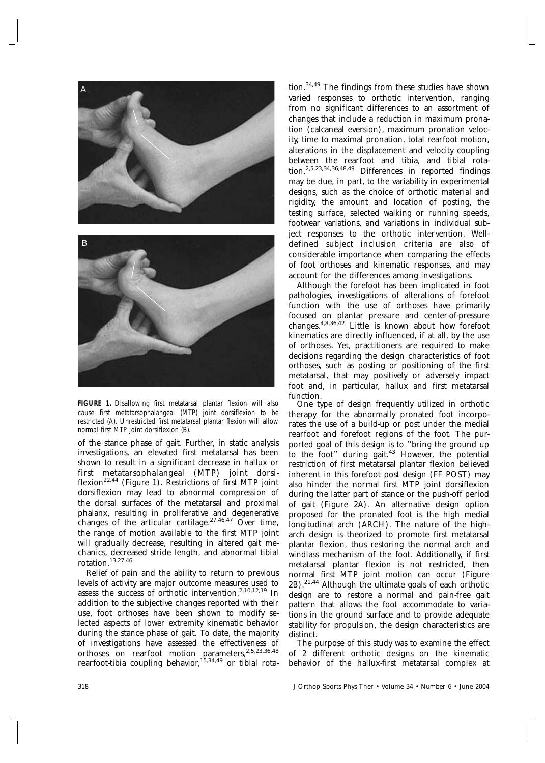

**FIGURE 1.** Disallowing first metatarsal plantar flexion will also cause first metatarsophalangeal (MTP) joint dorsiflexion to be restricted (A). Unrestricted first metatarsal plantar flexion will allow normal first MTP joint dorsiflexion (B).

of the stance phase of gait. Further, in static analysis investigations, an elevated first metatarsal has been shown to result in a significant decrease in hallux or first metatarsophalangeal (MTP) joint dorsiflexion<sup>22,44</sup> (Figure 1). Restrictions of first MTP joint dorsiflexion may lead to abnormal compression of the dorsal surfaces of the metatarsal and proximal phalanx, resulting in proliferative and degenerative changes of the articular cartilage.<sup>27,46,47</sup> Over time. the range of motion available to the first MTP joint will gradually decrease, resulting in altered gait mechanics, decreased stride length, and abnormal tibial rotation.13,27,46

Relief of pain and the ability to return to previous levels of activity are major outcome measures used to assess the success of orthotic intervention.<sup>2,10,12,19</sup> In addition to the subjective changes reported with their use, foot orthoses have been shown to modify selected aspects of lower extremity kinematic behavior during the stance phase of gait. To date, the majority of investigations have assessed the effectiveness of orthoses on rearfoot motion parameters,<sup>2,5,23,36,48</sup> rearfoot-tibia coupling behavior,  $15,34,49$  or tibial rota-

tion.34,49 The findings from these studies have shown varied responses to orthotic intervention, ranging from no significant differences to an assortment of changes that include a reduction in maximum pronation (calcaneal eversion), maximum pronation velocity, time to maximal pronation, total rearfoot motion, alterations in the displacement and velocity coupling between the rearfoot and tibia, and tibial rotation.2,5,23,34,36,48,49 Differences in reported findings may be due, in part, to the variability in experimental designs, such as the choice of orthotic material and rigidity, the amount and location of posting, the testing surface, selected walking or running speeds, footwear variations, and variations in individual subject responses to the orthotic intervention. Welldefined subject inclusion criteria are also of considerable importance when comparing the effects of foot orthoses and kinematic responses, and may account for the differences among investigations.

Although the forefoot has been implicated in foot pathologies, investigations of alterations of forefoot function with the use of orthoses have primarily focused on plantar pressure and center-of-pressure changes.<sup>4,8,36,42</sup> Little is known about how forefoot kinematics are directly influenced, if at all, by the use of orthoses. Yet, practitioners are required to make decisions regarding the design characteristics of foot orthoses, such as posting or positioning of the first metatarsal, that may positively or adversely impact foot and, in particular, hallux and first metatarsal function.

One type of design frequently utilized in orthotic therapy for the abnormally pronated foot incorporates the use of a build-up or post under the medial rearfoot and forefoot regions of the foot. The purported goal of this design is to ''bring the ground up to the foot" during gait. $43$  However, the potential restriction of first metatarsal plantar flexion believed inherent in this forefoot post design (FF POST) may also hinder the normal first MTP joint dorsiflexion during the latter part of stance or the push-off period of gait (Figure 2A). An alternative design option proposed for the pronated foot is the high medial longitudinal arch (ARCH). The nature of the higharch design is theorized to promote first metatarsal plantar flexion, thus restoring the normal arch and windlass mechanism of the foot. Additionally, if first metatarsal plantar flexion is not restricted, then normal first MTP joint motion can occur (Figure  $2B$ ).<sup>21,44</sup> Although the ultimate goals of each orthotic design are to restore a normal and pain-free gait pattern that allows the foot accommodate to variations in the ground surface and to provide adequate stability for propulsion, the design characteristics are distinct.

The purpose of this study was to examine the effect of 2 different orthotic designs on the kinematic behavior of the hallux-first metatarsal complex at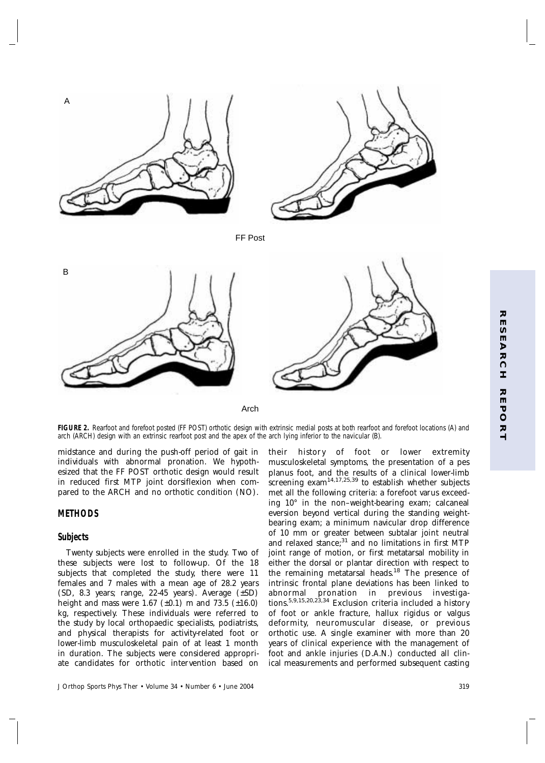

**RESEARCH**

 $\overline{z}$  $\blacksquare$  $\mathbf{\Omega}$  $\blacksquare$  $\triangleright$  $\overline{\mathbf{z}}$  $\Omega$  $\pm$ 

**REPORT**

 $\frac{1}{2}$ 

EPO



FF Post



Arch

**FIGURE 2.** Rearfoot and forefoot posted (FF POST) orthotic design with extrinsic medial posts at both rearfoot and forefoot locations (A) and arch (ARCH) design with an extrinsic rearfoot post and the apex of the arch lying inferior to the navicular (B).

midstance and during the push-off period of gait in individuals with abnormal pronation. We hypothesized that the FF POST orthotic design would result in reduced first MTP joint dorsiflexion when compared to the ARCH and no orthotic condition (NO).

### **METHODS**

#### **Subjects**

Twenty subjects were enrolled in the study. Two of these subjects were lost to follow-up. Of the 18 subjects that completed the study, there were 11 females and 7 males with a mean age of 28.2 years (SD, 8.3 years; range, 22-45 years). Average  $(\pm SD)$ height and mass were 1.67 ( $\pm$ 0.1) m and 73.5 ( $\pm$ 16.0) kg, respectively. These individuals were referred to the study by local orthopaedic specialists, podiatrists, and physical therapists for activity-related foot or lower-limb musculoskeletal pain of at least 1 month in duration. The subjects were considered appropriate candidates for orthotic intervention based on

their history of foot or lower extremity musculoskeletal symptoms, the presentation of a pes planus foot, and the results of a clinical lower-limb screening  $exam^{14,17,25,39}$  to establish whether subjects met all the following criteria: a forefoot varus exceeding 10° in the non–weight-bearing exam; calcaneal eversion beyond vertical during the standing weightbearing exam; a minimum navicular drop difference of 10 mm or greater between subtalar joint neutral and relaxed stance; $31$  and no limitations in first MTP joint range of motion, or first metatarsal mobility in either the dorsal or plantar direction with respect to the remaining metatarsal heads.<sup>18</sup> The presence of intrinsic frontal plane deviations has been linked to abnormal pronation in previous investigations.<sup>5,9,15,20,23,34</sup> Exclusion criteria included a history of foot or ankle fracture, hallux rigidus or valgus deformity, neuromuscular disease, or previous orthotic use. A single examiner with more than 20 years of clinical experience with the management of foot and ankle injuries (D.A.N.) conducted all clinical measurements and performed subsequent casting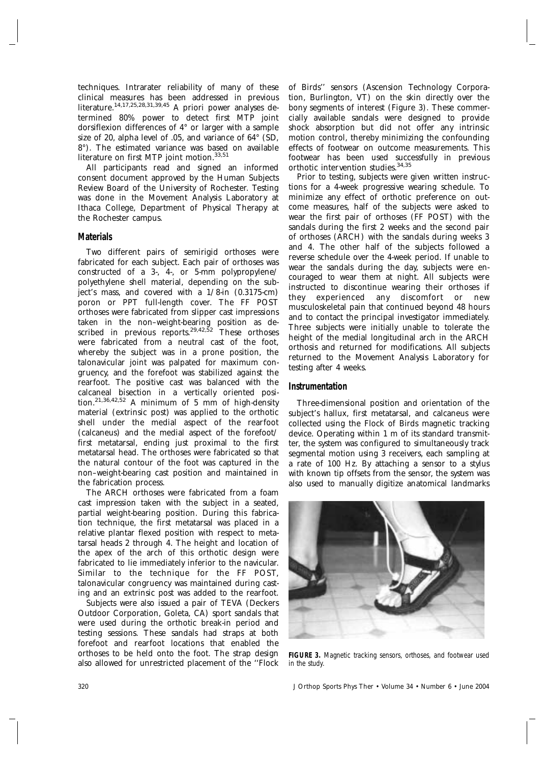techniques. Intrarater reliability of many of these clinical measures has been addressed in previous literature.<sup>14,17,25,28,31,39,45</sup> A priori power analyses determined 80% power to detect first MTP joint dorsiflexion differences of 4° or larger with a sample size of 20, alpha level of .05, and variance of 64° (SD, 8°). The estimated variance was based on available literature on first MTP joint motion.<sup>33,51</sup>

All participants read and signed an informed consent document approved by the Human Subjects Review Board of the University of Rochester. Testing was done in the Movement Analysis Laboratory at Ithaca College, Department of Physical Therapy at the Rochester campus.

#### **Materials**

Two different pairs of semirigid orthoses were fabricated for each subject. Each pair of orthoses was constructed of a 3-, 4-, or 5-mm polypropylene/ polyethylene shell material, depending on the subject's mass, and covered with a 1/8-in (0.3175-cm) poron or PPT full-length cover. The FF POST orthoses were fabricated from slipper cast impressions taken in the non–weight-bearing position as described in previous reports.<sup>29,42,52</sup> These orthoses were fabricated from a neutral cast of the foot, whereby the subject was in a prone position, the talonavicular joint was palpated for maximum congruency, and the forefoot was stabilized against the rearfoot. The positive cast was balanced with the calcaneal bisection in a vertically oriented position.21,36,42,52 A minimum of 5 mm of high-density material (extrinsic post) was applied to the orthotic shell under the medial aspect of the rearfoot (calcaneus) and the medial aspect of the forefoot/ first metatarsal, ending just proximal to the first metatarsal head. The orthoses were fabricated so that the natural contour of the foot was captured in the non–weight-bearing cast position and maintained in the fabrication process.

The ARCH orthoses were fabricated from a foam cast impression taken with the subject in a seated, partial weight-bearing position. During this fabrication technique, the first metatarsal was placed in a relative plantar flexed position with respect to metatarsal heads 2 through 4. The height and location of the apex of the arch of this orthotic design were fabricated to lie immediately inferior to the navicular. Similar to the technique for the FF POST, talonavicular congruency was maintained during casting and an extrinsic post was added to the rearfoot.

Subjects were also issued a pair of TEVA (Deckers Outdoor Corporation, Goleta, CA) sport sandals that were used during the orthotic break-in period and testing sessions. These sandals had straps at both forefoot and rearfoot locations that enabled the orthoses to be held onto the foot. The strap design also allowed for unrestricted placement of the ''Flock of Birds'' sensors (Ascension Technology Corporation, Burlington, VT) on the skin directly over the bony segments of interest (Figure 3). These commercially available sandals were designed to provide shock absorption but did not offer any intrinsic motion control, thereby minimizing the confounding effects of footwear on outcome measurements. This footwear has been used successfully in previous orthotic intervention studies.<sup>34,35</sup>

Prior to testing, subjects were given written instructions for a 4-week progressive wearing schedule. To minimize any effect of orthotic preference on outcome measures, half of the subjects were asked to wear the first pair of orthoses (FF POST) with the sandals during the first 2 weeks and the second pair of orthoses (ARCH) with the sandals during weeks 3 and 4. The other half of the subjects followed a reverse schedule over the 4-week period. If unable to wear the sandals during the day, subjects were encouraged to wear them at night. All subjects were instructed to discontinue wearing their orthoses if they experienced any discomfort or new musculoskeletal pain that continued beyond 48 hours and to contact the principal investigator immediately. Three subjects were initially unable to tolerate the height of the medial longitudinal arch in the ARCH orthosis and returned for modifications. All subjects returned to the Movement Analysis Laboratory for testing after 4 weeks.

### **Instrumentation**

Three-dimensional position and orientation of the subject's hallux, first metatarsal, and calcaneus were collected using the Flock of Birds magnetic tracking device. Operating within 1 m of its standard transmitter, the system was configured to simultaneously track segmental motion using 3 receivers, each sampling at a rate of 100 Hz. By attaching a sensor to a stylus with known tip offsets from the sensor, the system was also used to manually digitize anatomical landmarks



**FIGURE 3.** Magnetic tracking sensors, orthoses, and footwear used in the study.

320 J Orthop Sports Phys Ther • Volume 34 • Number 6 • June 2004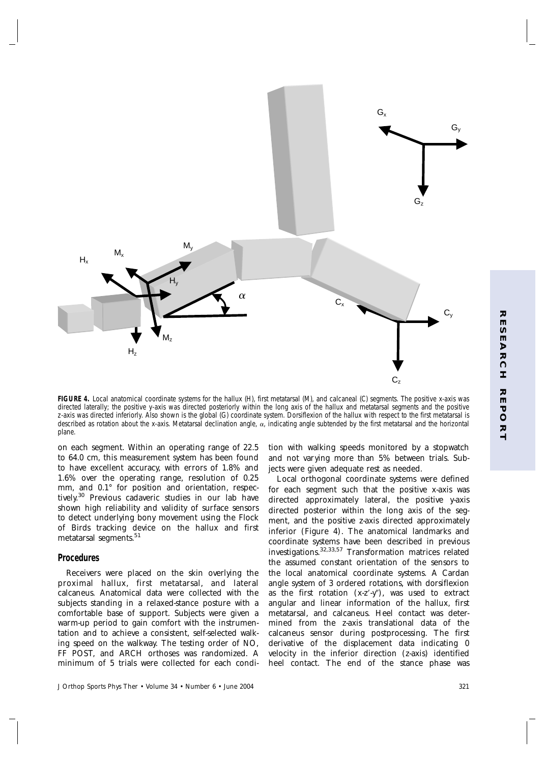

 $\mathsf{G}_{\mathsf{x}}$ 

**FIGURE 4.** Local anatomical coordinate systems for the hallux (H), first metatarsal (M), and calcaneal (C) segments. The positive x-axis was directed laterally; the positive y-axis was directed posteriorly within the long axis of the hallux and metatarsal segments and the positive z-axis was directed inferiorly. Also shown is the global (G) coordinate system. Dorsiflexion of the hallux with respect to the first metatarsal is described as rotation about the x-axis. Metatarsal declination angle,  $\alpha$ , indicating angle subtended by the first metatarsal and the horizontal plane.

 $\alpha$ 

on each segment. Within an operating range of 22.5 to 64.0 cm, this measurement system has been found to have excellent accuracy, with errors of 1.8% and 1.6% over the operating range, resolution of 0.25 mm, and  $0.1^{\circ}$  for position and orientation, respectively.30 Previous cadaveric studies in our lab have shown high reliability and validity of surface sensors to detect underlying bony movement using the Flock of Birds tracking device on the hallux and first metatarsal segments.<sup>51</sup>

 $H<sub>z</sub>$ 

 $M_{x}$ 

Hy

 $M_{\rm v}$ 

 $M<sub>z</sub>$ 

### **Procedures**

 $H_{x}$ 

Receivers were placed on the skin overlying the proximal hallux, first metatarsal, and lateral calcaneus. Anatomical data were collected with the subjects standing in a relaxed-stance posture with a comfortable base of support. Subjects were given a warm-up period to gain comfort with the instrumentation and to achieve a consistent, self-selected walking speed on the walkway. The testing order of NO, FF POST, and ARCH orthoses was randomized. A minimum of 5 trials were collected for each condi-

tion with walking speeds monitored by a stopwatch and not varying more than 5% between trials. Subjects were given adequate rest as needed.

Local orthogonal coordinate systems were defined for each segment such that the positive x-axis was directed approximately lateral, the positive y-axis directed posterior within the long axis of the segment, and the positive z-axis directed approximately inferior (Figure 4). The anatomical landmarks and coordinate systems have been described in previous investigations.32,33,57 Transformation matrices related the assumed constant orientation of the sensors to the local anatomical coordinate systems. A Cardan angle system of 3 ordered rotations, with dorsiflexion as the first rotation (x-z'-y''), was used to extract angular and linear information of the hallux, first metatarsal, and calcaneus. Heel contact was determined from the z-axis translational data of the calcaneus sensor during postprocessing. The first derivative of the displacement data indicating 0 velocity in the inferior direction (z-axis) identified heel contact. The end of the stance phase was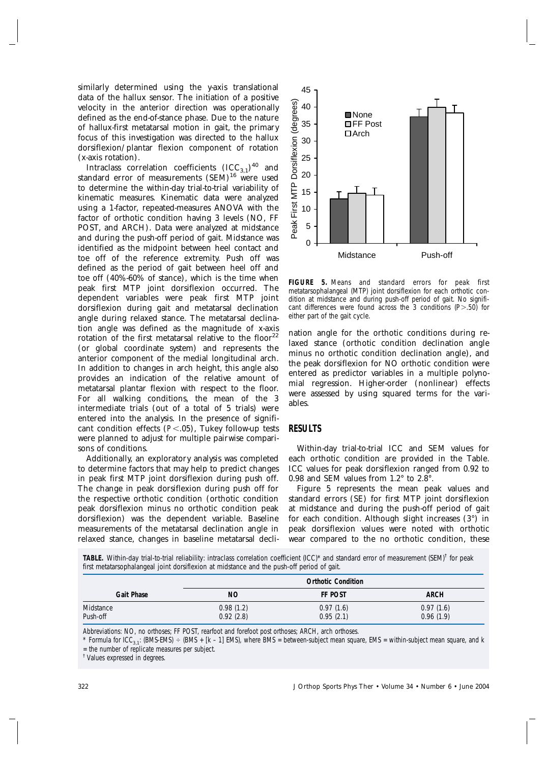similarly determined using the y-axis translational data of the hallux sensor. The initiation of a positive velocity in the anterior direction was operationally defined as the end-of-stance phase. Due to the nature of hallux-first metatarsal motion in gait, the primary focus of this investigation was directed to the hallux dorsiflexion/plantar flexion component of rotation (x-axis rotation).

Intraclass correlation coefficients  $(ICC_{3,1})^{40}$  and standard error of measurements  $(SEM)^{16}$  were used to determine the within-day trial-to-trial variability of kinematic measures. Kinematic data were analyzed using a 1-factor, repeated-measures ANOVA with the factor of orthotic condition having 3 levels (NO, FF POST, and ARCH). Data were analyzed at midstance and during the push-off period of gait. Midstance was identified as the midpoint between heel contact and toe off of the reference extremity. Push off was defined as the period of gait between heel off and toe off (40%-60% of stance), which is the time when peak first MTP joint dorsiflexion occurred. The dependent variables were peak first MTP joint dorsiflexion during gait and metatarsal declination angle during relaxed stance. The metatarsal declination angle was defined as the magnitude of x-axis rotation of the first metatarsal relative to the floor<sup>22</sup> (or global coordinate system) and represents the anterior component of the medial longitudinal arch. In addition to changes in arch height, this angle also provides an indication of the relative amount of metatarsal plantar flexion with respect to the floor. For all walking conditions, the mean of the 3 intermediate trials (out of a total of 5 trials) were entered into the analysis. In the presence of significant condition effects (P<.05), Tukey follow-up tests were planned to adjust for multiple pairwise comparisons of conditions.

Additionally, an exploratory analysis was completed to determine factors that may help to predict changes in peak first MTP joint dorsiflexion during push off. The change in peak dorsiflexion during push off for the respective orthotic condition (orthotic condition peak dorsiflexion minus no orthotic condition peak dorsiflexion) was the dependent variable. Baseline measurements of the metatarsal declination angle in relaxed stance, changes in baseline metatarsal decli-



**FIGURE 5.** Means and standard errors for peak first metatarsophalangeal (MTP) joint dorsiflexion for each orthotic condition at midstance and during push-off period of gait. No significant differences were found across the  $3$  conditions ( $P > .50$ ) for either part of the gait cycle.

nation angle for the orthotic conditions during relaxed stance (orthotic condition declination angle minus no orthotic condition declination angle), and the peak dorsiflexion for NO orthotic condition were entered as predictor variables in a multiple polynomial regression. Higher-order (nonlinear) effects were assessed by using squared terms for the variables.

### **RESULTS**

Within-day trial-to-trial ICC and SEM values for each orthotic condition are provided in the Table. ICC values for peak dorsiflexion ranged from 0.92 to 0.98 and SEM values from 1.2° to 2.8°.

Figure 5 represents the mean peak values and standard errors (SE) for first MTP joint dorsiflexion at midstance and during the push-off period of gait for each condition. Although slight increases (3°) in peak dorsiflexion values were noted with orthotic wear compared to the no orthotic condition, these

**TABLE.** Within-day trial-to-trial reliability: intraclass correlation coefficient (ICC)\* and standard error of measurement (SEM)† for peak first metatarsophalangeal joint dorsiflexion at midstance and the push-off period of gait.

|                       | <b>Orthotic Condition</b> |                        |                        |
|-----------------------|---------------------------|------------------------|------------------------|
| <b>Gait Phase</b>     | <b>NO</b>                 | FF POST                | <b>ARCH</b>            |
| Midstance<br>Push-off | 0.98(1.2)<br>0.92(2.8)    | 0.97(1.6)<br>0.95(2.1) | 0.97(1.6)<br>0.96(1.9) |

Abbreviations: NO, no orthoses; FF POST, rearfoot and forefoot post orthoses; ARCH, arch orthoses.

\* Formula for ICC<sub>3,1</sub>: (BMS-EMS)  $\div$  (BMS + [k – 1] EMS), where BMS = between-subject mean square, EMS = within-subject mean square, and k = the number of replicate measures per subject.

† Values expressed in degrees.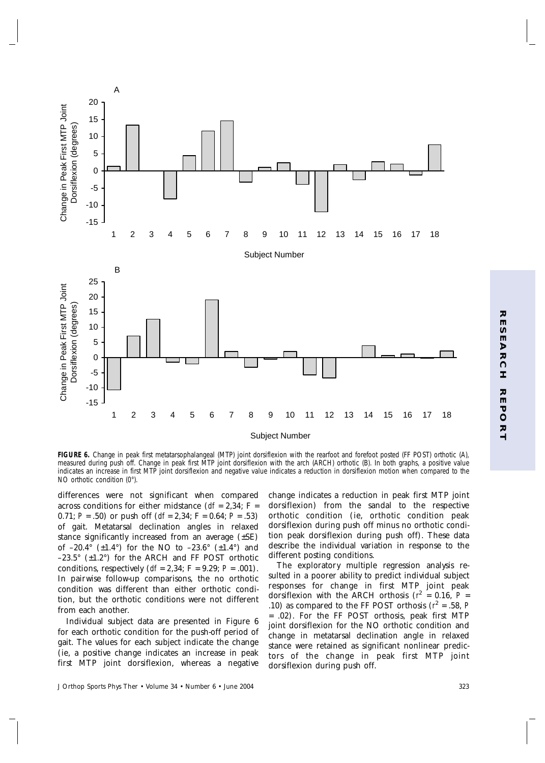$\frac{1}{2}$ 



**FIGURE 6.** Change in peak first metatarsophalangeal (MTP) joint dorsiflexion with the rearfoot and forefoot posted (FF POST) orthotic (A), measured during push off. Change in peak first MTP joint dorsiflexion with the arch (ARCH) orthotic (B). In both graphs, a positive value indicates an increase in first MTP joint dorsiflexion and negative value indicates a reduction in dorsiflexion motion when compared to the NO orthotic condition (0°).

differences were not significant when compared across conditions for either midstance ( $df = 2,34$ ; F = 0.71; *P* = .50) or push off (*df* = 2,34; F = 0.64; *P* = .53) of gait. Metatarsal declination angles in relaxed stance significantly increased from an average  $(\pm SE)$ of  $-20.4^{\circ}$  ( $\pm 1.4^{\circ}$ ) for the NO to  $-23.6^{\circ}$  ( $\pm 1.4^{\circ}$ ) and –23.5° (±1.2°) for the ARCH and FF POST orthotic conditions, respectively  $(df = 2,34; F = 9.29; P = .001)$ . In pairwise follow-up comparisons, the no orthotic condition was different than either orthotic condition, but the orthotic conditions were not different from each another.

Individual subject data are presented in Figure 6 for each orthotic condition for the push-off period of gait. The values for each subject indicate the change (ie, a positive change indicates an increase in peak first MTP joint dorsiflexion, whereas a negative change indicates a reduction in peak first MTP joint dorsiflexion) from the sandal to the respective orthotic condition (ie, orthotic condition peak dorsiflexion during push off minus no orthotic condition peak dorsiflexion during push off). These data describe the individual variation in response to the different posting conditions.

The exploratory multiple regression analysis resulted in a poorer ability to predict individual subject responses for change in first MTP joint peak dorsiflexion with the ARCH orthosis ( $r^2 = 0.16$ ,  $P =$ .10) as compared to the FF POST orthosis  $(r^2 = .58, P)$ = .02). For the FF POST orthosis, peak first MTP joint dorsiflexion for the NO orthotic condition and change in metatarsal declination angle in relaxed stance were retained as significant nonlinear predictors of the change in peak first MTP joint dorsiflexion during push off.

J Orthop Sports Phys Ther • Volume 34 • Number 6 • June 2004 323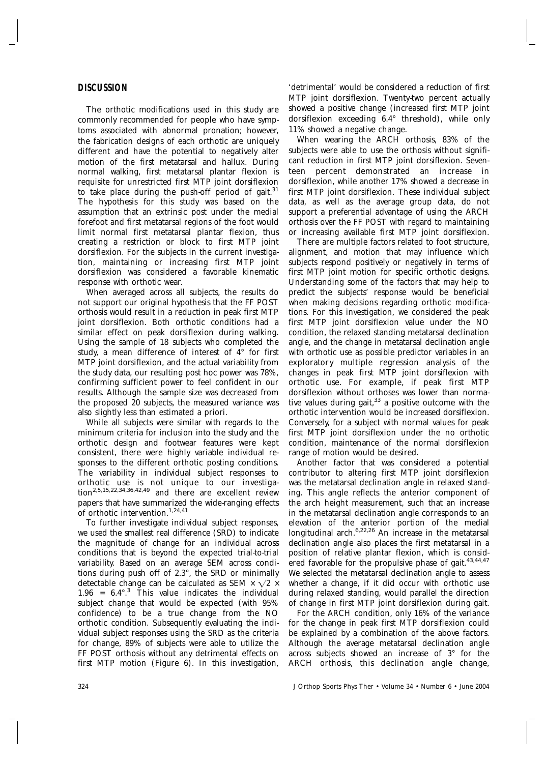## **DISCUSSION**

The orthotic modifications used in this study are commonly recommended for people who have symptoms associated with abnormal pronation; however, the fabrication designs of each orthotic are uniquely different and have the potential to negatively alter motion of the first metatarsal and hallux. During normal walking, first metatarsal plantar flexion is requisite for unrestricted first MTP joint dorsiflexion to take place during the push-off period of gait. $31$ The hypothesis for this study was based on the assumption that an extrinsic post under the medial forefoot and first metatarsal regions of the foot would limit normal first metatarsal plantar flexion, thus creating a restriction or block to first MTP joint dorsiflexion. For the subjects in the current investigation, maintaining or increasing first MTP joint dorsiflexion was considered a favorable kinematic response with orthotic wear.

When averaged across all subjects, the results do not support our original hypothesis that the FF POST orthosis would result in a reduction in peak first MTP joint dorsiflexion. Both orthotic conditions had a similar effect on peak dorsiflexion during walking. Using the sample of 18 subjects who completed the study, a mean difference of interest of 4° for first MTP joint dorsiflexion, and the actual variability from the study data, our resulting post hoc power was 78%, confirming sufficient power to feel confident in our results. Although the sample size was decreased from the proposed 20 subjects, the measured variance was also slightly less than estimated a priori.

While all subjects were similar with regards to the minimum criteria for inclusion into the study and the orthotic design and footwear features were kept consistent, there were highly variable individual responses to the different orthotic posting conditions. The variability in individual subject responses to orthotic use is not unique to our investigation2,5,15,22,34,36,42,49 and there are excellent review papers that have summarized the wide-ranging effects of orthotic intervention. $1,24,41$ 

To further investigate individual subject responses, we used the smallest real difference (SRD) to indicate the magnitude of change for an individual across conditions that is beyond the expected trial-to-trial variability. Based on an average SEM across conditions during push off of 2.3°, the SRD or minimally detectable change can be calculated as SEM  $\times \sqrt{2} \times$  $1.96 = 6.4^{\circ}.$ <sup>3</sup> This value indicates the individual subject change that would be expected (with 95% confidence) to be a true change from the NO orthotic condition. Subsequently evaluating the individual subject responses using the SRD as the criteria for change, 89% of subjects were able to utilize the FF POST orthosis without any detrimental effects on first MTP motion (Figure 6). In this investigation,

'detrimental' would be considered a reduction of first MTP joint dorsiflexion. Twenty-two percent actually showed a positive change (increased first MTP joint dorsiflexion exceeding 6.4° threshold), while only 11% showed a negative change.

When wearing the ARCH orthosis, 83% of the subjects were able to use the orthosis without significant reduction in first MTP joint dorsiflexion. Seventeen percent demonstrated an increase in dorsiflexion, while another 17% showed a decrease in first MTP joint dorsiflexion. These individual subject data, as well as the average group data, do not support a preferential advantage of using the ARCH orthosis over the FF POST with regard to maintaining or increasing available first MTP joint dorsiflexion.

There are multiple factors related to foot structure, alignment, and motion that may influence which subjects respond positively or negatively in terms of first MTP joint motion for specific orthotic designs. Understanding some of the factors that may help to predict the subjects' response would be beneficial when making decisions regarding orthotic modifications. For this investigation, we considered the peak first MTP joint dorsiflexion value under the NO condition, the relaxed standing metatarsal declination angle, and the change in metatarsal declination angle with orthotic use as possible predictor variables in an exploratory multiple regression analysis of the changes in peak first MTP joint dorsiflexion with orthotic use. For example, if peak first MTP dorsiflexion without orthoses was lower than normative values during gait, $33$  a positive outcome with the orthotic intervention would be increased dorsiflexion. Conversely, for a subject with normal values for peak first MTP joint dorsiflexion under the no orthotic condition, maintenance of the normal dorsiflexion range of motion would be desired.

Another factor that was considered a potential contributor to altering first MTP joint dorsiflexion was the metatarsal declination angle in relaxed standing. This angle reflects the anterior component of the arch height measurement, such that an increase in the metatarsal declination angle corresponds to an elevation of the anterior portion of the medial longitudinal arch. $6,22,26$  An increase in the metatarsal declination angle also places the first metatarsal in a position of relative plantar flexion, which is considered favorable for the propulsive phase of gait. $43,44,47$ We selected the metatarsal declination angle to assess whether a change, if it did occur with orthotic use during relaxed standing, would parallel the direction of change in first MTP joint dorsiflexion during gait.

For the ARCH condition, only 16% of the variance for the change in peak first MTP dorsiflexion could be explained by a combination of the above factors. Although the average metatarsal declination angle across subjects showed an increase of 3° for the ARCH orthosis, this declination angle change,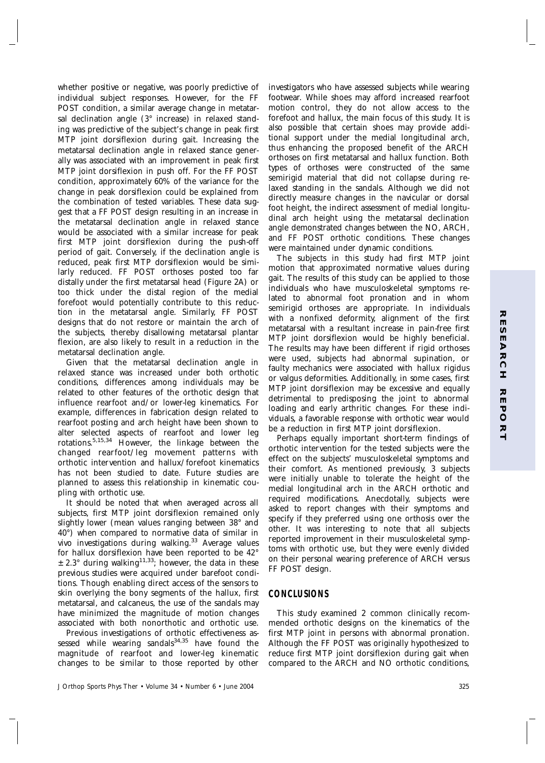whether positive or negative, was poorly predictive of individual subject responses. However, for the FF POST condition, a similar average change in metatarsal declination angle (3° increase) in relaxed standing was predictive of the subject's change in peak first MTP joint dorsiflexion during gait. Increasing the metatarsal declination angle in relaxed stance generally was associated with an improvement in peak first MTP joint dorsiflexion in push off. For the FF POST condition, approximately 60% of the variance for the change in peak dorsiflexion could be explained from the combination of tested variables. These data suggest that a FF POST design resulting in an increase in the metatarsal declination angle in relaxed stance would be associated with a similar increase for peak first MTP joint dorsiflexion during the push-off period of gait. Conversely, if the declination angle is reduced, peak first MTP dorsiflexion would be similarly reduced. FF POST orthoses posted too far distally under the first metatarsal head (Figure 2A) or too thick under the distal region of the medial forefoot would potentially contribute to this reduction in the metatarsal angle. Similarly, FF POST designs that do not restore or maintain the arch of the subjects, thereby disallowing metatarsal plantar flexion, are also likely to result in a reduction in the metatarsal declination angle.

Given that the metatarsal declination angle in relaxed stance was increased under both orthotic conditions, differences among individuals may be related to other features of the orthotic design that influence rearfoot and/or lower-leg kinematics. For example, differences in fabrication design related to rearfoot posting and arch height have been shown to alter selected aspects of rearfoot and lower leg rotations.5,15,34 However, the linkage between the changed rearfoot/leg movement patterns with orthotic intervention and hallux/forefoot kinematics has not been studied to date. Future studies are planned to assess this relationship in kinematic coupling with orthotic use.

It should be noted that when averaged across all subjects, first MTP joint dorsiflexion remained only slightly lower (mean values ranging between 38° and 40°) when compared to normative data of similar in vivo investigations during walking.<sup>33</sup> Average values for hallux dorsiflexion have been reported to be 42°  $\pm$  2.3° during walking<sup>11,33</sup>; however, the data in these previous studies were acquired under barefoot conditions. Though enabling direct access of the sensors to skin overlying the bony segments of the hallux, first metatarsal, and calcaneus, the use of the sandals may have minimized the magnitude of motion changes associated with both nonorthotic and orthotic use.

Previous investigations of orthotic effectiveness assessed while wearing sandals $34,35$  have found the magnitude of rearfoot and lower-leg kinematic changes to be similar to those reported by other investigators who have assessed subjects while wearing footwear. While shoes may afford increased rearfoot motion control, they do not allow access to the forefoot and hallux, the main focus of this study. It is also possible that certain shoes may provide additional support under the medial longitudinal arch, thus enhancing the proposed benefit of the ARCH orthoses on first metatarsal and hallux function. Both types of orthoses were constructed of the same semirigid material that did not collapse during relaxed standing in the sandals. Although we did not directly measure changes in the navicular or dorsal foot height, the indirect assessment of medial longitudinal arch height using the metatarsal declination angle demonstrated changes between the NO, ARCH, and FF POST orthotic conditions. These changes were maintained under dynamic conditions.

The subjects in this study had first MTP joint motion that approximated normative values during gait. The results of this study can be applied to those individuals who have musculoskeletal symptoms related to abnormal foot pronation and in whom semirigid orthoses are appropriate. In individuals with a nonfixed deformity, alignment of the first metatarsal with a resultant increase in pain-free first MTP joint dorsiflexion would be highly beneficial. The results may have been different if rigid orthoses were used, subjects had abnormal supination, or faulty mechanics were associated with hallux rigidus or valgus deformities. Additionally, in some cases, first MTP joint dorsiflexion may be excessive and equally detrimental to predisposing the joint to abnormal loading and early arthritic changes. For these individuals, a favorable response with orthotic wear would be a reduction in first MTP joint dorsiflexion.

Perhaps equally important short-term findings of orthotic intervention for the tested subjects were the effect on the subjects' musculoskeletal symptoms and their comfort. As mentioned previously, 3 subjects were initially unable to tolerate the height of the medial longitudinal arch in the ARCH orthotic and required modifications. Anecdotally, subjects were asked to report changes with their symptoms and specify if they preferred using one orthosis over the other. It was interesting to note that all subjects reported improvement in their musculoskeletal symptoms with orthotic use, but they were evenly divided on their personal wearing preference of ARCH versus FF POST design.

### **CONCLUSIONS**

This study examined 2 common clinically recommended orthotic designs on the kinematics of the first MTP joint in persons with abnormal pronation. Although the FF POST was originally hypothesized to reduce first MTP joint dorsiflexion during gait when compared to the ARCH and NO orthotic conditions,

J Orthop Sports Phys Ther • Volume 34 • Number 6 • June 2004 325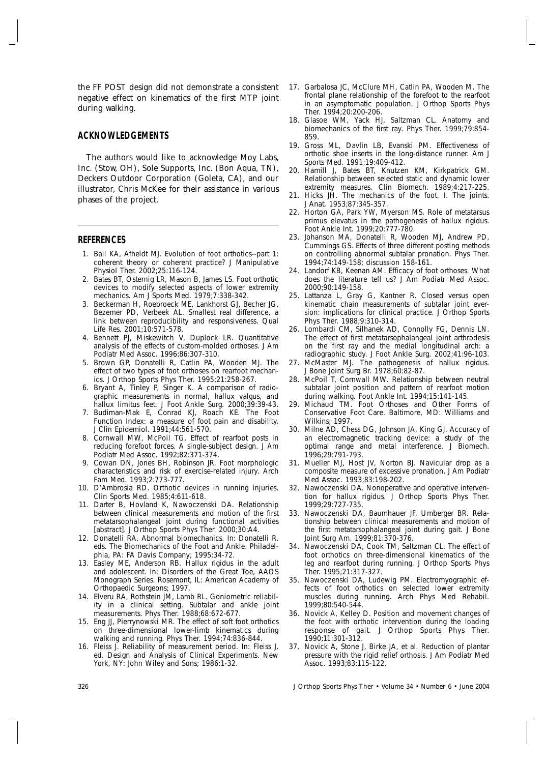the FF POST design did not demonstrate a consistent negative effect on kinematics of the first MTP joint during walking.

### **ACKNOWLEDGEMENTS**

The authors would like to acknowledge Moy Labs, Inc. (Stow, OH), Sole Supports, Inc. (Bon Aqua, TN), Deckers Outdoor Corporation (Goleta, CA), and our illustrator, Chris McKee for their assistance in various phases of the project.

#### **REFERENCES**

- 1. Ball KA, Afheldt MJ. Evolution of foot orthotics--part 1: coherent theory or coherent practice? *J Manipulative Physiol Ther.* 2002;25:116-124.
- 2. Bates BT, Osternig LR, Mason B, James LS. Foot orthotic devices to modify selected aspects of lower extremity mechanics. *Am J Sports Med.* 1979;7:338-342.
- 3. Beckerman H, Roebroeck ME, Lankhorst GJ, Becher JG, Bezemer PD, Verbeek AL. Smallest real difference, a link between reproducibility and responsiveness. *Qual Life Res.* 2001;10:571-578.
- 4. Bennett PJ, Miskewitch V, Duplock LR. Quantitative analysis of the effects of custom-molded orthoses. *J Am Podiatr Med Assoc.* 1996;86:307-310.
- 5. Brown GP, Donatelli R, Catlin PA, Wooden MJ. The effect of two types of foot orthoses on rearfoot mechanics. *J Orthop Sports Phys Ther.* 1995;21:258-267.
- 6. Bryant A, Tinley P, Singer K. A comparison of radiographic measurements in normal, hallux valgus, and hallux limitus feet. *J Foot Ankle Surg.* 2000;39:39-43.
- 7. Budiman-Mak E, Conrad KJ, Roach KE. The Foot Function Index: a measure of foot pain and disability. *J Clin Epidemiol.* 1991;44:561-570.
- 8. Cornwall MW, McPoil TG. Effect of rearfoot posts in reducing forefoot forces. A single-subject design. *J Am Podiatr Med Assoc.* 1992;82:371-374.
- 9. Cowan DN, Jones BH, Robinson JR. Foot morphologic characteristics and risk of exercise-related injury. *Arch Fam Med.* 1993;2:773-777.
- 10. D'Ambrosia RD. Orthotic devices in running injuries. *Clin Sports Med.* 1985;4:611-618.
- 11. Darter B, Hovland K, Nawoczenski DA. Relationship between clinical measurements and motion of the first metatarsophalangeal joint during functional activities [abstract]. *J Orthop Sports Phys Ther.* 2000;30:A4.
- 12. Donatelli RA. Abnormal biomechanics. In: Donatelli R. eds. *The Biomechanics of the Foot and Ankle.* Philadelphia, PA: FA Davis Company; 1995:34-72.
- 13. Easley ME, Anderson RB. Hallux rigidus in the adult and adolescent. In: *Disorders of the Great Toe, AAOS Monograph Series.* Rosemont, IL: American Academy of Orthopaedic Surgeons; 1997.
- 14. Elveru RA, Rothstein JM, Lamb RL. Goniometric reliability in a clinical setting. Subtalar and ankle joint measurements. *Phys Ther.* 1988;68:672-677.
- 15. Eng JJ, Pierrynowski MR. The effect of soft foot orthotics on three-dimensional lower-limb kinematics during walking and running. *Phys Ther.* 1994;74:836-844.
- 16. Fleiss J. Reliability of measurement period. In: Fleiss J. ed. *Design and Analysis of Clinical Experiments.* New York, NY: John Wiley and Sons; 1986:1-32.
- 17. Garbalosa JC, McClure MH, Catlin PA, Wooden M. The frontal plane relationship of the forefoot to the rearfoot in an asymptomatic population. *J Orthop Sports Phys Ther.* 1994;20:200-206.
- 18. Glasoe WM, Yack HJ, Saltzman CL. Anatomy and biomechanics of the first ray. *Phys Ther.* 1999;79:854- 859.
- 19. Gross ML, Davlin LB, Evanski PM. Effectiveness of orthotic shoe inserts in the long-distance runner. *Am J Sports Med.* 1991;19:409-412.
- Hamill J, Bates BT, Knutzen KM, Kirkpatrick GM. Relationship between selected static and dynamic lower extremity measures. *Clin Biomech.* 1989;4:217-225.
- 21. Hicks JH. The mechanics of the foot. I. The joints. *J Anat.* 1953;87:345-357.
- 22. Horton GA, Park YW, Myerson MS. Role of metatarsus primus elevatus in the pathogenesis of hallux rigidus. *Foot Ankle Int.* 1999;20:777-780.
- 23. Johanson MA, Donatelli R, Wooden MJ, Andrew PD, Cummings GS. Effects of three different posting methods on controlling abnormal subtalar pronation. *Phys Ther.* 1994;74:149-158; discussion 158-161.
- 24. Landorf KB, Keenan AM. Efficacy of foot orthoses. What does the literature tell us? *J Am Podiatr Med Assoc.* 2000;90:149-158.
- 25. Lattanza L, Gray G, Kantner R. Closed versus open kinematic chain measurements of subtalar joint eversion: implications for clinical practice. *J Orthop Sports Phys Ther.* 1988;9:310-314.
- Lombardi CM, Silhanek AD, Connolly FG, Dennis LN. The effect of first metatarsophalangeal joint arthrodesis on the first ray and the medial longitudinal arch: a radiographic study. *J Foot Ankle Surg.* 2002;41:96-103.
- McMaster MJ. The pathogenesis of hallux rigidus. *J Bone Joint Surg Br.* 1978;60:82-87.
- 28. McPoil T, Cornwall MW. Relationship between neutral subtalar joint position and pattern of rearfoot motion during walking. *Foot Ankle Int.* 1994;15:141-145.
- 29. Michaud TM. *Foot Orthoses and Other Forms of Conservative Foot Care.* Baltimore, MD: Williams and Wilkins; 1997.
- 30. Milne AD, Chess DG, Johnson JA, King GJ. Accuracy of an electromagnetic tracking device: a study of the optimal range and metal interference. *J Biomech.* 1996;29:791-793.
- 31. Mueller MJ, Host JV, Norton BJ. Navicular drop as a composite measure of excessive pronation. *J Am Podiatr Med Assoc.* 1993;83:198-202.
- 32. Nawoczenski DA. Nonoperative and operative intervention for hallux rigidus. *J Orthop Sports Phys Ther.* 1999;29:727-735.
- 33. Nawoczenski DA, Baumhauer JF, Umberger BR. Relationship between clinical measurements and motion of the first metatarsophalangeal joint during gait. *J Bone Joint Surg Am.* 1999;81:370-376.
- 34. Nawoczenski DA, Cook TM, Saltzman CL. The effect of foot orthotics on three-dimensional kinematics of the leg and rearfoot during running. *J Orthop Sports Phys Ther.* 1995;21:317-327.
- 35. Nawoczenski DA, Ludewig PM. Electromyographic effects of foot orthotics on selected lower extremity muscles during running. *Arch Phys Med Rehabil.* 1999;80:540-544.
- 36. Novick A, Kelley D. Position and movement changes of the foot with orthotic intervention during the loading response of gait. *J Orthop Sports Phys Ther.* 1990;11:301-312.
- 37. Novick A, Stone J, Birke JA, et al. Reduction of plantar pressure with the rigid relief orthosis. *J Am Podiatr Med Assoc.* 1993;83:115-122.

326 J Orthop Sports Phys Ther • Volume 34 • Number 6 • June 2004